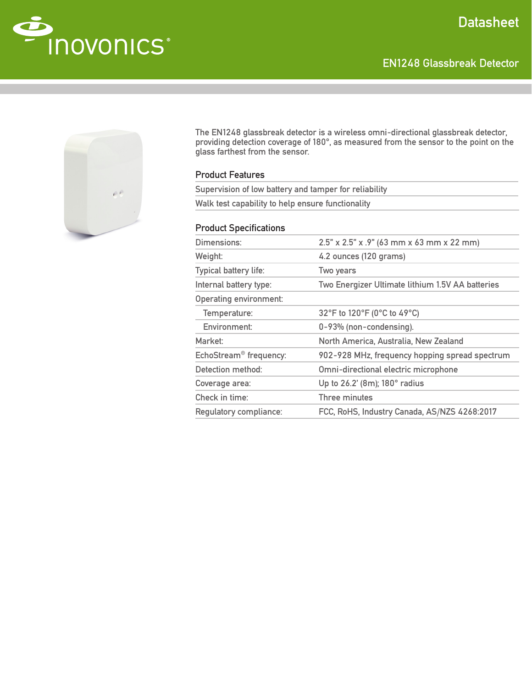EN1248 Glassbreak Detector





The EN1248 glassbreak detector is a wireless omni-directional glassbreak detector, providing detection coverage of 180°, as measured from the sensor to the point on the glass farthest from the sensor.

## Product Features

| Supervision of low battery and tamper for reliability |  |
|-------------------------------------------------------|--|
| Walk test capability to help ensure functionality     |  |

## Product Specifications

| Dimensions:                        | 2.5" x 2.5" x .9" (63 mm x 63 mm x 22 mm)        |
|------------------------------------|--------------------------------------------------|
| Weight:                            | 4.2 ounces (120 grams)                           |
| Typical battery life:              | Two years                                        |
| Internal battery type:             | Two Energizer Ultimate lithium 1.5V AA batteries |
| <b>Operating environment:</b>      |                                                  |
| Temperature:                       | 32°F to 120°F (0°C to 49°C)                      |
| Environment:                       | 0-93% (non-condensing).                          |
| Market:                            | North America, Australia, New Zealand            |
| EchoStream <sup>®</sup> frequency: | 902-928 MHz, frequency hopping spread spectrum   |
| Detection method:                  | Omni-directional electric microphone             |
| Coverage area:                     | Up to 26.2' (8m); 180° radius                    |
| Check in time:                     | Three minutes                                    |
| Regulatory compliance:             | FCC, RoHS, Industry Canada, AS/NZS 4268:2017     |